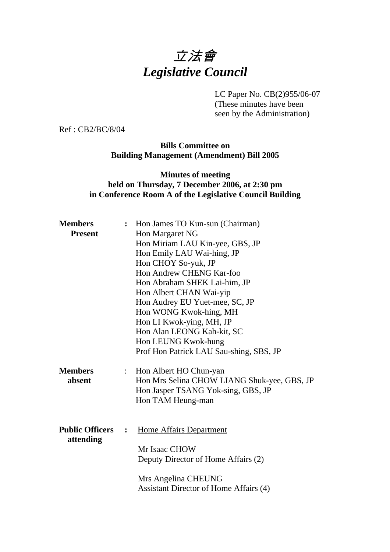# 立法會 *Legislative Council*

LC Paper No. CB(2)955/06-07

(These minutes have been seen by the Administration)

Ref : CB2/BC/8/04

#### **Bills Committee on Building Management (Amendment) Bill 2005**

#### **Minutes of meeting held on Thursday, 7 December 2006, at 2:30 pm in Conference Room A of the Legislative Council Building**

| <b>Members</b>                      |                | : Hon James TO Kun-sun (Chairman)                                                                                                        |  |  |
|-------------------------------------|----------------|------------------------------------------------------------------------------------------------------------------------------------------|--|--|
| <b>Present</b>                      |                | Hon Margaret NG                                                                                                                          |  |  |
|                                     |                | Hon Miriam LAU Kin-yee, GBS, JP                                                                                                          |  |  |
|                                     |                | Hon Emily LAU Wai-hing, JP<br>Hon CHOY So-yuk, JP<br>Hon Andrew CHENG Kar-foo<br>Hon Abraham SHEK Lai-him, JP<br>Hon Albert CHAN Wai-yip |  |  |
|                                     |                |                                                                                                                                          |  |  |
|                                     |                |                                                                                                                                          |  |  |
|                                     |                |                                                                                                                                          |  |  |
|                                     |                |                                                                                                                                          |  |  |
|                                     |                | Hon Audrey EU Yuet-mee, SC, JP                                                                                                           |  |  |
|                                     |                | Hon WONG Kwok-hing, MH                                                                                                                   |  |  |
|                                     |                | Hon LI Kwok-ying, MH, JP                                                                                                                 |  |  |
|                                     |                | Hon Alan LEONG Kah-kit, SC                                                                                                               |  |  |
|                                     |                | Hon LEUNG Kwok-hung                                                                                                                      |  |  |
|                                     |                | Prof Hon Patrick LAU Sau-shing, SBS, JP                                                                                                  |  |  |
| <b>Members</b>                      | $\ddot{\cdot}$ | Hon Albert HO Chun-yan                                                                                                                   |  |  |
| absent                              |                | Hon Mrs Selina CHOW LIANG Shuk-yee, GBS, JP                                                                                              |  |  |
|                                     |                | Hon Jasper TSANG Yok-sing, GBS, JP                                                                                                       |  |  |
|                                     |                | Hon TAM Heung-man                                                                                                                        |  |  |
|                                     |                |                                                                                                                                          |  |  |
| <b>Public Officers</b><br>attending | $\ddot{\cdot}$ | <b>Home Affairs Department</b>                                                                                                           |  |  |
|                                     |                |                                                                                                                                          |  |  |
|                                     |                | Mr Isaac CHOW                                                                                                                            |  |  |
|                                     |                | Deputy Director of Home Affairs (2)                                                                                                      |  |  |
|                                     |                | Mrs Angelina CHEUNG                                                                                                                      |  |  |
|                                     |                | Assistant Director of Home Affairs (4)                                                                                                   |  |  |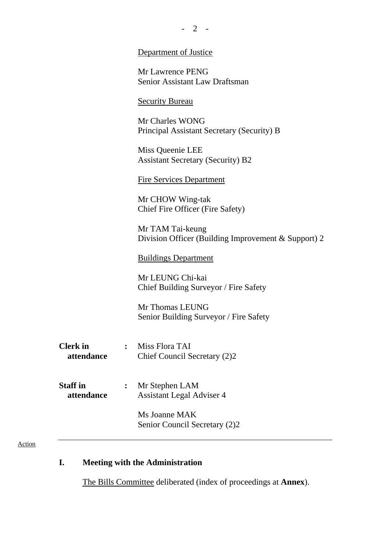|                               |                | $-2$ -                                                                  |
|-------------------------------|----------------|-------------------------------------------------------------------------|
|                               |                | Department of Justice                                                   |
|                               |                | Mr Lawrence PENG<br><b>Senior Assistant Law Draftsman</b>               |
|                               |                | <b>Security Bureau</b>                                                  |
|                               |                | Mr Charles WONG<br>Principal Assistant Secretary (Security) B           |
|                               |                | Miss Queenie LEE<br><b>Assistant Secretary (Security) B2</b>            |
|                               |                | <b>Fire Services Department</b>                                         |
|                               |                | Mr CHOW Wing-tak<br>Chief Fire Officer (Fire Safety)                    |
|                               |                | Mr TAM Tai-keung<br>Division Officer (Building Improvement & Support) 2 |
|                               |                | <b>Buildings Department</b>                                             |
|                               |                | Mr LEUNG Chi-kai<br>Chief Building Surveyor / Fire Safety               |
|                               |                | Mr Thomas LEUNG<br>Senior Building Surveyor / Fire Safety               |
| <b>Clerk</b> in<br>attendance | $\ddot{\cdot}$ | Miss Flora TAI<br>Chief Council Secretary (2)2                          |
| <b>Staff</b> in<br>attendance |                | Mr Stephen LAM<br><b>Assistant Legal Adviser 4</b>                      |
|                               |                | Ms Joanne MAK<br>Senior Council Secretary (2)2                          |
|                               |                |                                                                         |

## Action

# **I. Meeting with the Administration**

1. The Bills Committee deliberated (index of proceedings at **Annex**).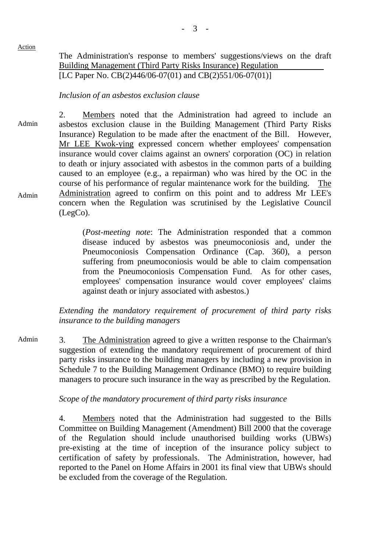#### Action

The Administration's response to members' suggestions/views on the draft Building Management (Third Party Risks Insurance) Regulation [LC Paper No. CB(2)446/06-07(01) and CB(2)551/06-07(01)]

### *Inclusion of an asbestos exclusion clause*

Admin Admin 2. Members noted that the Administration had agreed to include an asbestos exclusion clause in the Building Management (Third Party Risks Insurance) Regulation to be made after the enactment of the Bill. However, Mr LEE Kwok-ying expressed concern whether employees' compensation insurance would cover claims against an owners' corporation (OC) in relation to death or injury associated with asbestos in the common parts of a building caused to an employee (e.g., a repairman) who was hired by the OC in the course of his performance of regular maintenance work for the building. The Administration agreed to confirm on this point and to address Mr LEE's concern when the Regulation was scrutinised by the Legislative Council (LegCo).

> (*Post-meeting note*: The Administration responded that a common disease induced by asbestos was pneumoconiosis and, under the Pneumoconiosis Compensation Ordinance (Cap. 360), a person suffering from pneumoconiosis would be able to claim compensation from the Pneumoconiosis Compensation Fund. As for other cases, employees' compensation insurance would cover employees' claims against death or injury associated with asbestos.)

*Extending the mandatory requirement of procurement of third party risks insurance to the building managers* 

Admin 3. The Administration agreed to give a written response to the Chairman's suggestion of extending the mandatory requirement of procurement of third party risks insurance to the building managers by including a new provision in Schedule 7 to the Building Management Ordinance (BMO) to require building managers to procure such insurance in the way as prescribed by the Regulation.

#### *Scope of the mandatory procurement of third party risks insurance*

4. Members noted that the Administration had suggested to the Bills Committee on Building Management (Amendment) Bill 2000 that the coverage of the Regulation should include unauthorised building works (UBWs) pre-existing at the time of inception of the insurance policy subject to certification of safety by professionals. The Administration, however, had reported to the Panel on Home Affairs in 2001 its final view that UBWs should be excluded from the coverage of the Regulation.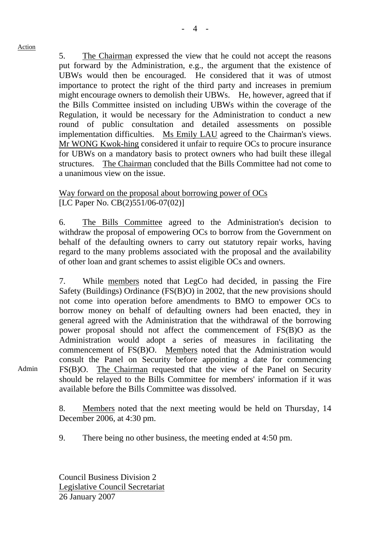#### Action

5. The Chairman expressed the view that he could not accept the reasons put forward by the Administration, e.g., the argument that the existence of UBWs would then be encouraged. He considered that it was of utmost importance to protect the right of the third party and increases in premium might encourage owners to demolish their UBWs. He, however, agreed that if the Bills Committee insisted on including UBWs within the coverage of the Regulation, it would be necessary for the Administration to conduct a new round of public consultation and detailed assessments on possible implementation difficulties. Ms Emily LAU agreed to the Chairman's views. Mr WONG Kwok-hing considered it unfair to require OCs to procure insurance for UBWs on a mandatory basis to protect owners who had built these illegal structures. The Chairman concluded that the Bills Committee had not come to a unanimous view on the issue.

### Way forward on the proposal about borrowing power of OCs [LC Paper No. CB(2)551/06-07(02)]

6. The Bills Committee agreed to the Administration's decision to withdraw the proposal of empowering OCs to borrow from the Government on behalf of the defaulting owners to carry out statutory repair works, having regard to the many problems associated with the proposal and the availability of other loan and grant schemes to assist eligible OCs and owners.

7. While members noted that LegCo had decided, in passing the Fire Safety (Buildings) Ordinance (FS(B)O) in 2002, that the new provisions should not come into operation before amendments to BMO to empower OCs to borrow money on behalf of defaulting owners had been enacted, they in general agreed with the Administration that the withdrawal of the borrowing power proposal should not affect the commencement of FS(B)O as the Administration would adopt a series of measures in facilitating the commencement of FS(B)O. Members noted that the Administration would consult the Panel on Security before appointing a date for commencing FS(B)O. The Chairman requested that the view of the Panel on Security should be relayed to the Bills Committee for members' information if it was available before the Bills Committee was dissolved.

8. Members noted that the next meeting would be held on Thursday, 14 December 2006, at 4:30 pm.

9. There being no other business, the meeting ended at 4:50 pm.

Council Business Division 2 Legislative Council Secretariat 26 January 2007

Admin